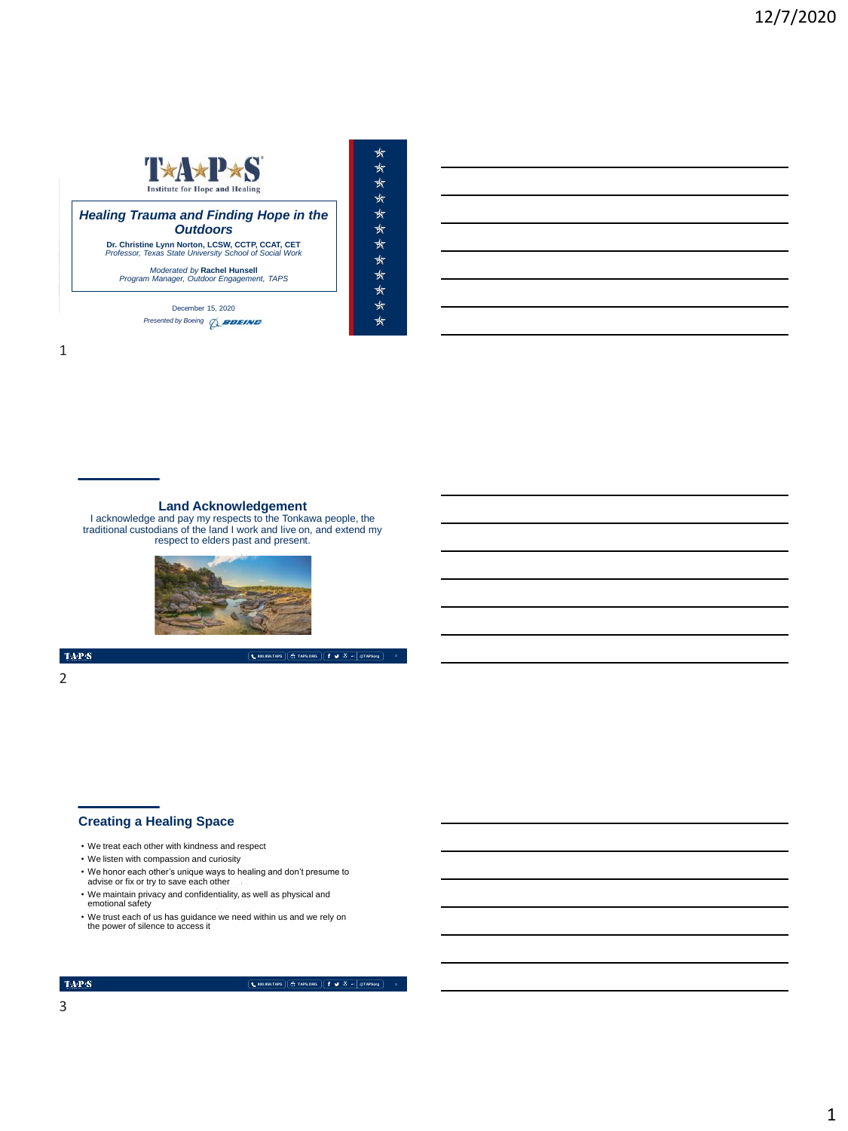# T\*A\*P\*S **Institute for Hope and Healing Healing Trauma and Finding Hope in the** *Outdoors* **Dr. Christine Lynn Norton, LCSW, CCTP, CCAT, CET** *Professor, Texas State University School of Social Work Moderated by Rachel Hunsell*<br>Program Manager, Outdoor Engagement, TAPS

★

 $\star$  $\frac{1}{N}$ 

\*\*\*\*\*\*\*\*\*

 $\star$ 

MEMORIAL DAY WEEKEND | MAY 2018 December 15, 2020 *Presented by Boeing* 28000

**Land Acknowledgement**<br>
I acknowledge and pay my respects to the Tonkawa people, the<br>
traditional custodians of the land I work and live on, and extend my<br>
respect to elders past and present.



 $\mathrm{TAP}S$ 

2

- **Creating a Healing Space**
- We treat each other with kindness and respect
- We listen with compassion and curiosity
- We honor each other's unique ways to healing and don't presume to advise or fix or try to save each other
- We maintain privacy and confidentiality, as well as physical and emotional safety
- We trust each of us has guidance we need within us and we rely on the power of silence to access it

#### $\mathrm{TAP}S$

### **800.959.TAPS TAPS.ORG @TAPSorg**

**800.959.TAPS TAPS.ORG @TAPSorg**

3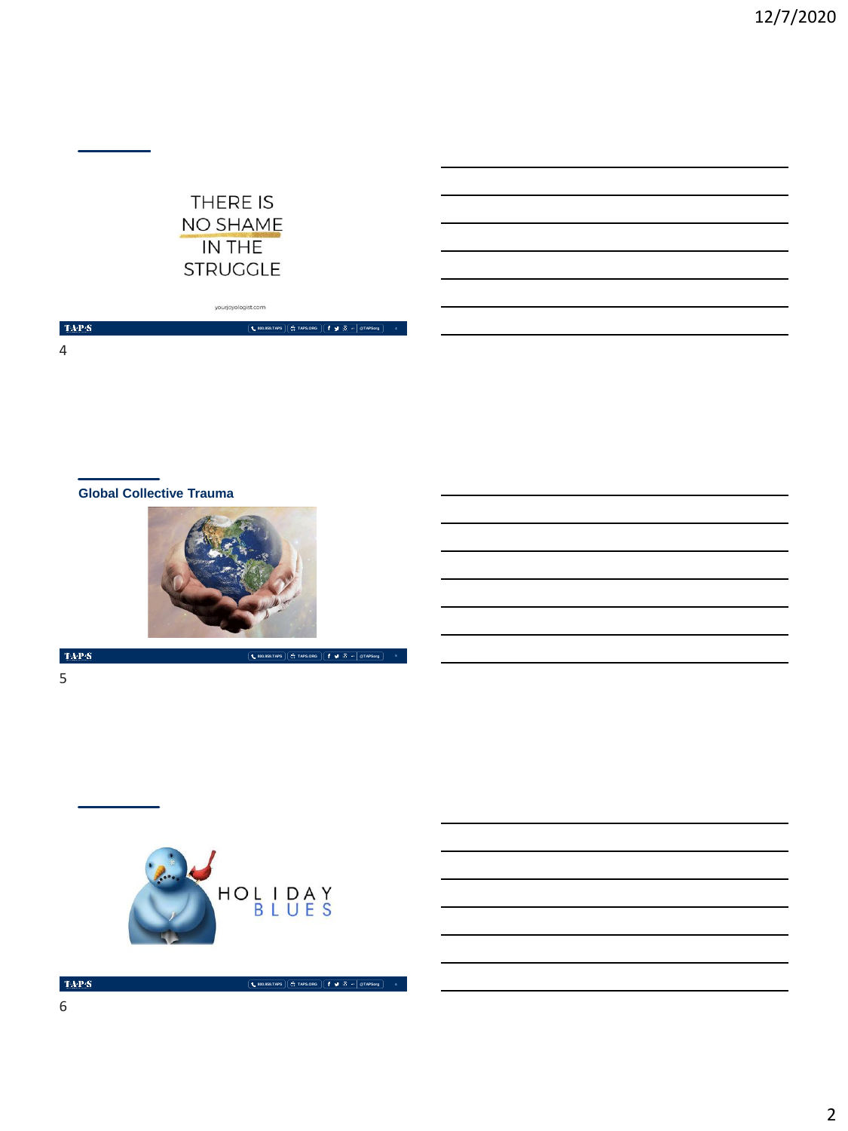

yourjoyologist.com

**800.959.TAPS TAPS.ORG @TAPSorg 4**

**800.959.TAPS TAPS.ORG @TAPSorg**

**800.959.TAPS TAPS.ORG @TAPSorg 6**

 $\langle \mathbf{T} \mathbf{A} \mathbf{P} \mathbf{S} \rangle$ 4

**Global Collective Trauma**



TAP $\overline{\mathbf{S}}$ 5



 $\mbox{TA-PS}$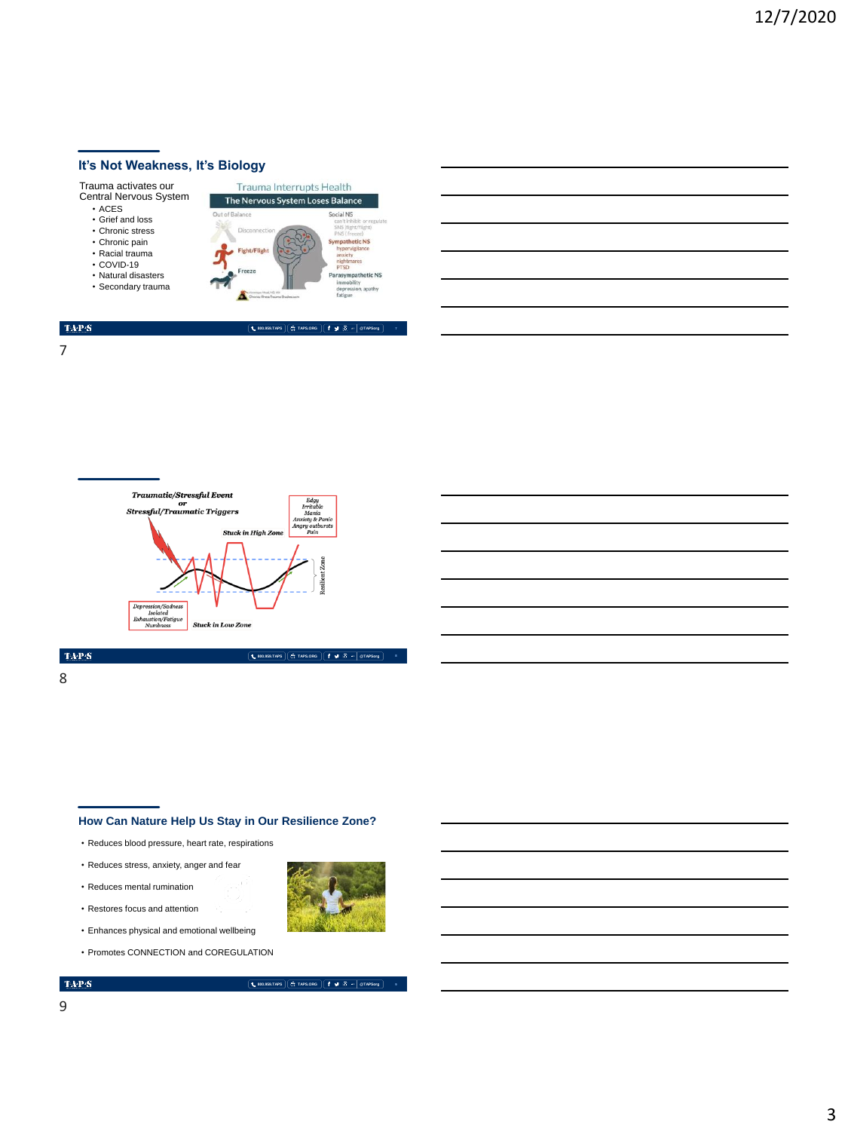# **It's Not Weakness, It's Biology**







## $\mathrm{TAP}S$

8

#### **How Can Nature Help Us Stay in Our Resilience Zone?**

- Reduces blood pressure, heart rate, respirations
- Reduces stress, anxiety, anger and fear
- Reduces mental rumination
- Restores focus and attention
- Enhances physical and emotional wellbeing
- Promotes CONNECTION and COREGULATION

### $\mathrm{TAP}S$

**800.959.TAPS TAPS.ORG @TAPSorg 8**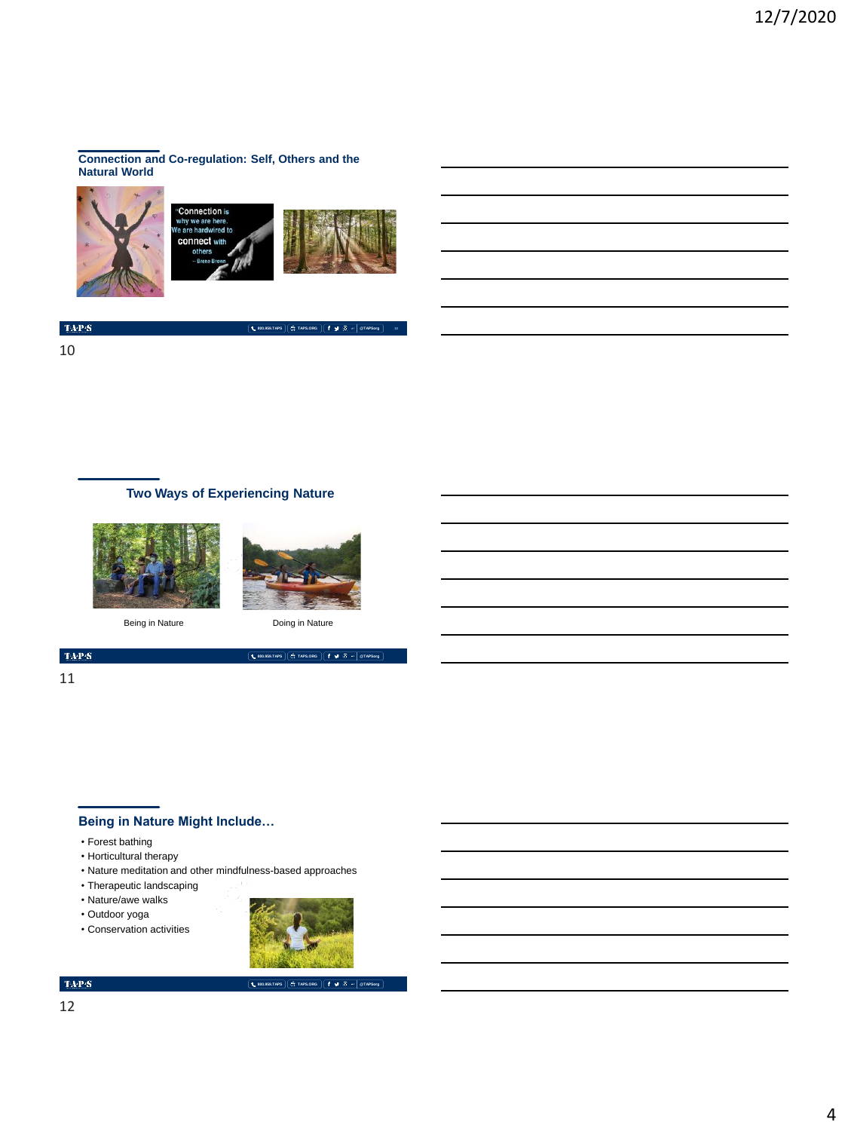#### **Connection and Co-regulation: Self, Others and the Natural World**



 $\langle \mathbf{T} \mathbf{A} \mathbf{P} \mathbf{S} \rangle$ 

10

# **Two Ways of Experiencing Nature**





**800.959.TAPS TAPS.ORG @TAPSorg 10**

Being in Nature Doing in Nature

**800.959.TAPS TAPS.ORG @TAPSorg**

### $\langle \mathbf{T} \mathbf{A} \mathbf{P} \mathbf{S} \rangle$

#### 11

# **Being in Nature Might Include…**

- Forest bathing
- Horticultural therapy
- Nature meditation and other mindfulness-based approaches
- Therapeutic landscaping
- Nature/awe walks
- Outdoor yoga
- Conservation activities



## $\mathrm{TaPP}(\mathbf{S})$

**800.959.TAPS TAPS.ORG @TAPSorg**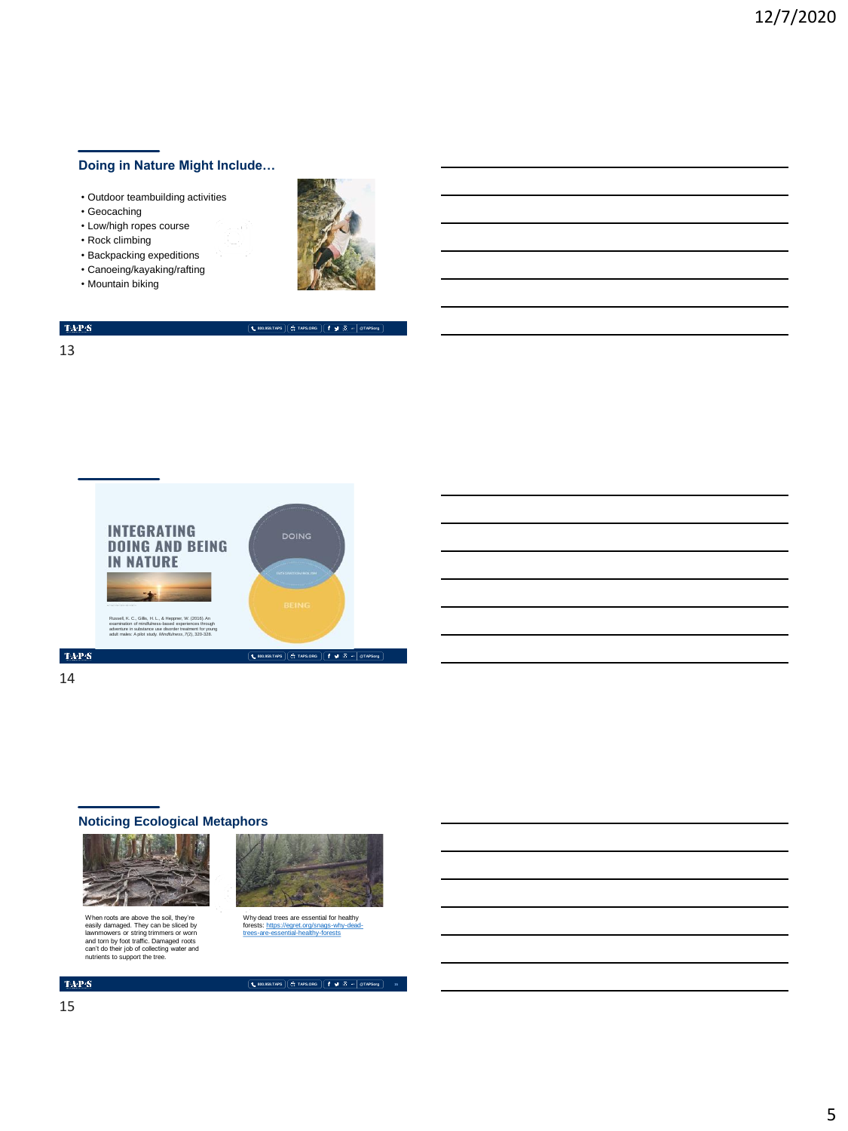# **Doing in Nature Might Include…**

- Outdoor teambuilding activities
- Geocaching
- Low/high ropes course
- Rock climbing
- Backpacking expeditions
- Canoeing/kayaking/rafting
- Mountain biking



**800.959.TAPS TAPS.ORG @TAPSorg**

# $\langle \mathbf{T} \mathbf{A} \mathbf{P} \mathbf{S} \rangle$

13



#### 14

# **Noticing Ecological Metaphors**



When roots are above the soil, they're<br>easily damaged. They can be sliced by<br>lawnmowers or string trimmers or worn<br>and torn by foot traffic. Damaged roots<br>can't do their job of collecting water and<br>nutrients to support the



Why dead trees are essential for healthy<br>forests: <u>https://egret.org/snags-why-dead-trees-are-essential-healthy-forests</u>

**800.959.TAPS TAPS.ORG @TAPSorg 15**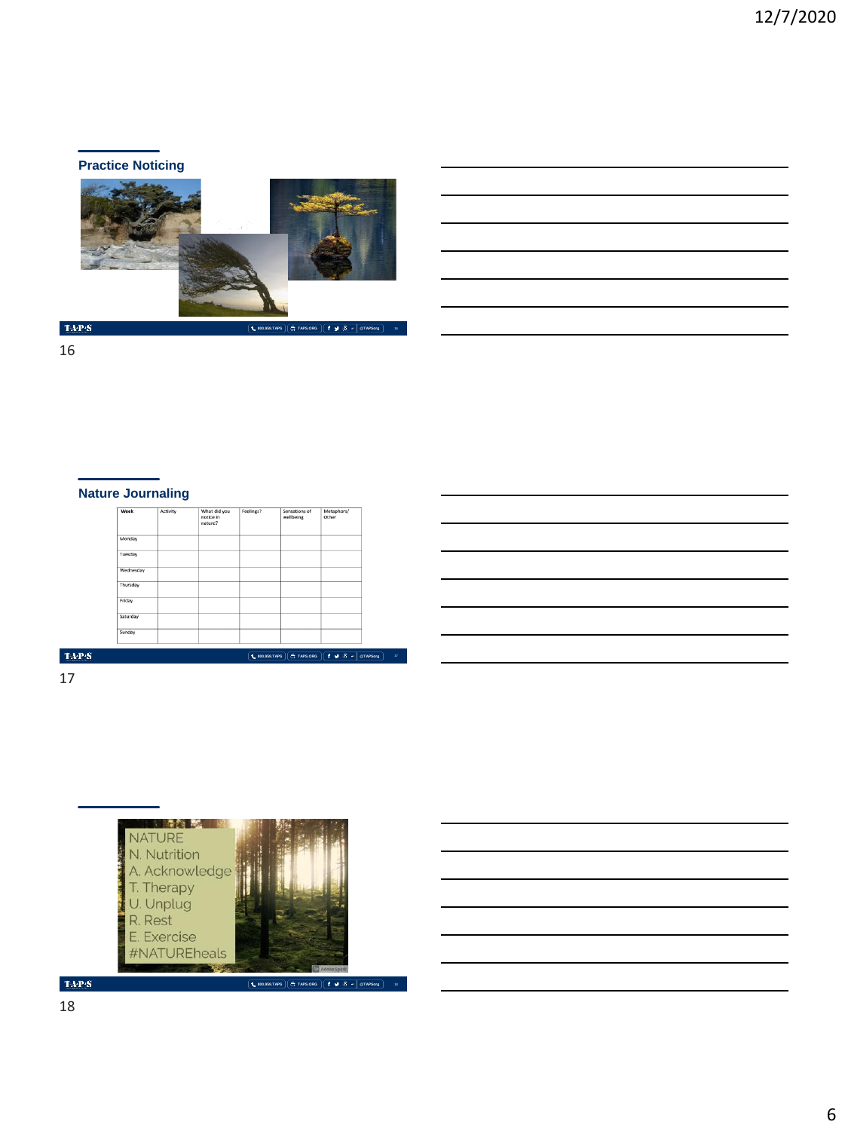# **Practice Noticing**



**800.959.TAPS TAPS.ORG @TAPSorg**

**16**

TAP:S

16

# **Nature Journaling**

| Activity | What did you<br>notice in<br>nature? | Feelings? | Sensations of<br>wellbeing | Metaphors/<br>Other |
|----------|--------------------------------------|-----------|----------------------------|---------------------|
|          |                                      |           |                            |                     |
|          |                                      |           |                            |                     |
|          |                                      |           |                            |                     |
|          |                                      |           |                            |                     |
|          |                                      |           |                            |                     |
|          |                                      |           |                            |                     |
|          |                                      |           |                            |                     |
|          |                                      |           |                            |                     |

 $\mbox{TAPS}$ 

17



 $\langle \mathbf{T} \mathbf{A} \mathbf{P} \mathbf{S} \rangle$ 18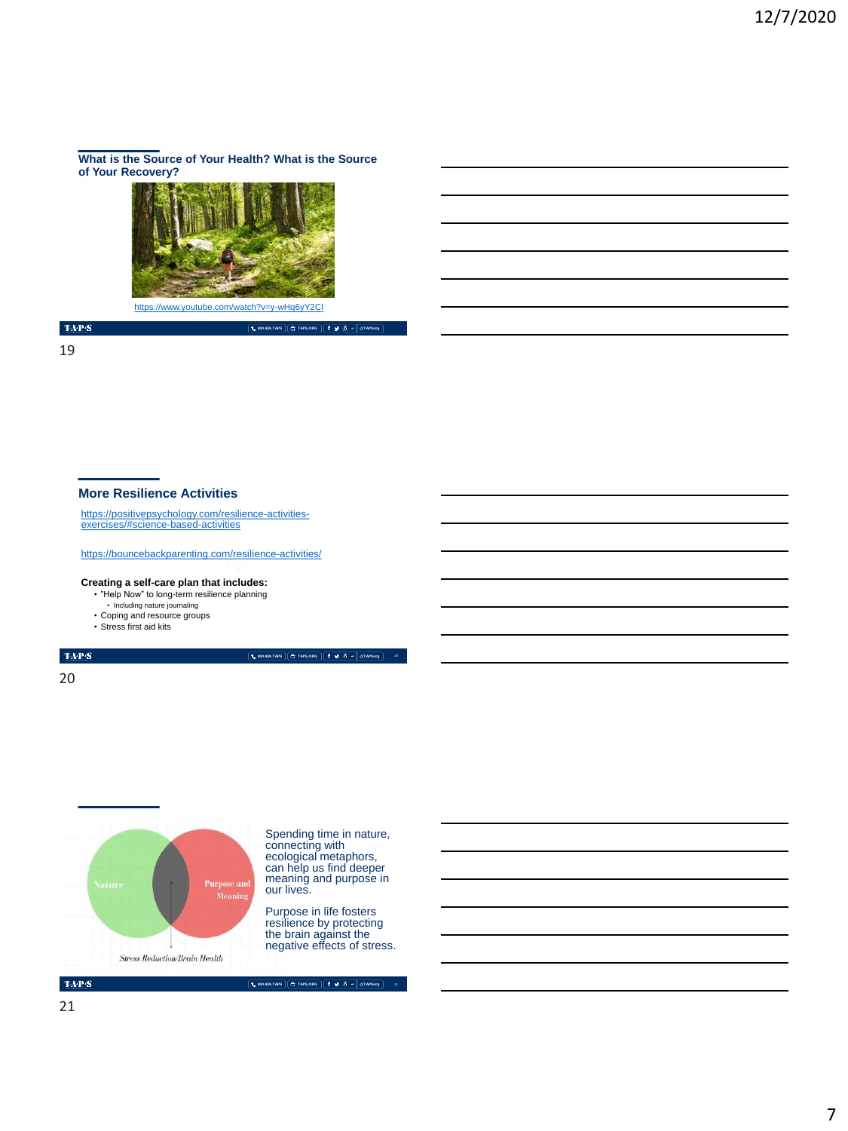**What is the Source of Your Health? What is the Source of Your Recovery?**



<https://www.youtube.com/watch?v=y-wHq6yY2CI>

 $\mathrm{TAP}S$ 

19

#### **More Resilience Activities**

[https://positivepsychology.com/resilience-activities-](https://positivepsychology.com/resilience-activities-exercises/#science-based-activities)exercises/#science-based-activities

<https://bouncebackparenting.com/resilience-activities/>

#### **Creating a self-care plan that includes:**

- "Help Now" to long-term resilience planning
- Including nature journaling Coping and resource groups
- Stress first aid kits
- 

 $\mathrm{TAP}S$ 

**800.959.TAPS TAPS.ORG @TAPSorg**

**20**

**800.959.TAPS TAPS.ORG @TAPSorg**

20



Spending time in nature, connecting with ecological metaphors, can help us find deeper meaning and purpose in our lives.

Purpose in life fosters resilience by protecting the brain against the negative effects of stress.

 $\mbox{TA-PS}$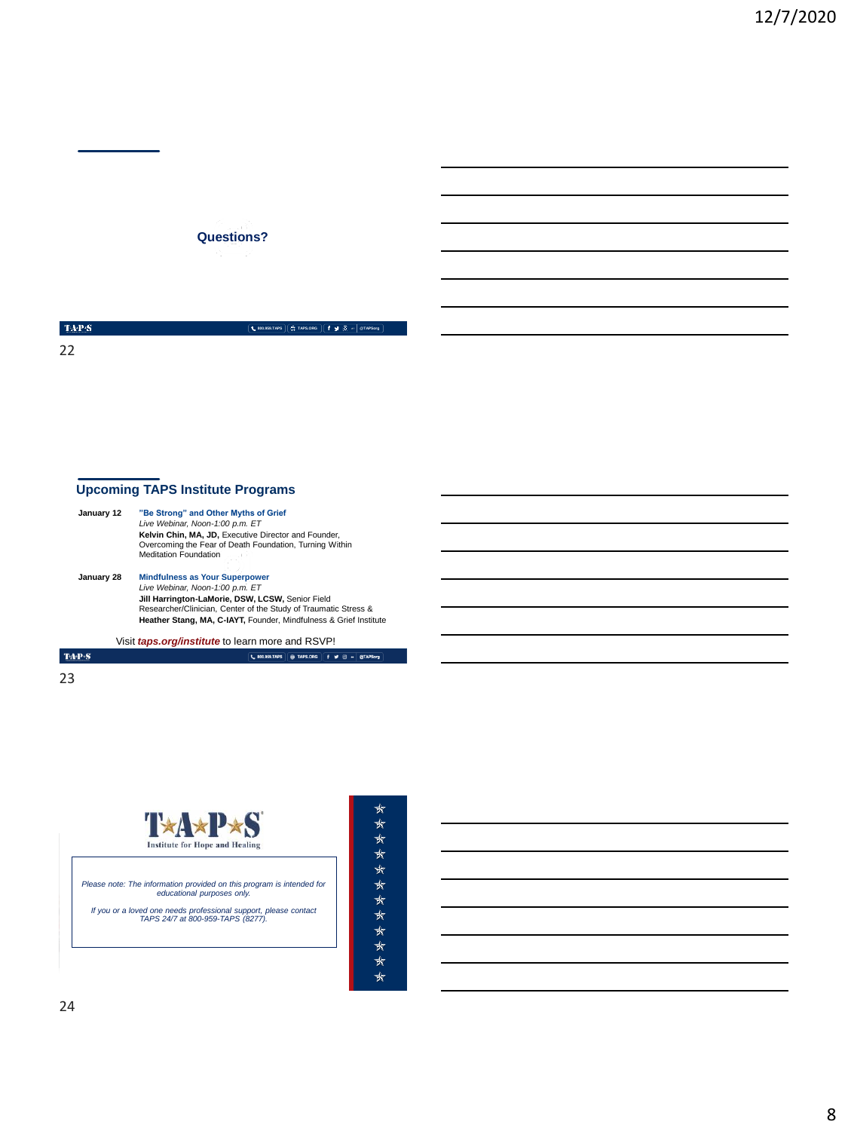# **Questions?**

TAP:S 22

**800.959.TAPS TAPS.ORG @TAPSorg**

**800.959.TAPS TAPS.ORG @TAPSorg**

# **Upcoming TAPS Institute Programs**

| January 12 | "Be Strong" and Other Myths of Grief                              |  |  |  |  |
|------------|-------------------------------------------------------------------|--|--|--|--|
|            | Live Webinar, Noon-1:00 p.m. ET                                   |  |  |  |  |
|            | Kelvin Chin, MA, JD, Executive Director and Founder.              |  |  |  |  |
|            | Overcoming the Fear of Death Foundation, Turning Within           |  |  |  |  |
|            | <b>Meditation Foundation</b>                                      |  |  |  |  |
| January 28 | <b>Mindfulness as Your Superpower</b>                             |  |  |  |  |
|            | Live Webinar, Noon-1:00 p.m. ET                                   |  |  |  |  |
|            | Jill Harrington-LaMorie, DSW, LCSW, Senior Field                  |  |  |  |  |
|            | Researcher/Clinician, Center of the Study of Traumatic Stress &   |  |  |  |  |
|            | Heather Stang, MA, C-IAYT, Founder, Mindfulness & Grief Institute |  |  |  |  |
|            |                                                                   |  |  |  |  |

Visit *taps.org/institute* to learn more and RSVP!

**TAP**<sup>\$</sup> $S$ 23